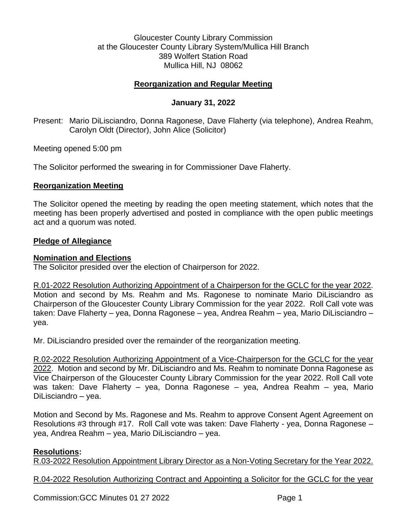Gloucester County Library Commission at the Gloucester County Library System/Mullica Hill Branch 389 Wolfert Station Road Mullica Hill, NJ 08062

# **Reorganization and Regular Meeting**

# **January 31, 2022**

Present: Mario DiLisciandro, Donna Ragonese, Dave Flaherty (via telephone), Andrea Reahm, Carolyn Oldt (Director), John Alice (Solicitor)

Meeting opened 5:00 pm

The Solicitor performed the swearing in for Commissioner Dave Flaherty.

#### **Reorganization Meeting**

The Solicitor opened the meeting by reading the open meeting statement, which notes that the meeting has been properly advertised and posted in compliance with the open public meetings act and a quorum was noted.

#### **Pledge of Allegiance**

#### **Nomination and Elections**

The Solicitor presided over the election of Chairperson for 2022.

R.01-2022 Resolution Authorizing Appointment of a Chairperson for the GCLC for the year 2022. Motion and second by Ms. Reahm and Ms. Ragonese to nominate Mario DiLisciandro as Chairperson of the Gloucester County Library Commission for the year 2022. Roll Call vote was taken: Dave Flaherty – yea, Donna Ragonese – yea, Andrea Reahm – yea, Mario DiLisciandro – yea.

Mr. DiLisciandro presided over the remainder of the reorganization meeting.

R.02-2022 Resolution Authorizing Appointment of a Vice-Chairperson for the GCLC for the year 2022. Motion and second by Mr. DiLisciandro and Ms. Reahm to nominate Donna Ragonese as Vice Chairperson of the Gloucester County Library Commission for the year 2022. Roll Call vote was taken: Dave Flaherty – yea, Donna Ragonese – yea, Andrea Reahm – yea, Mario DiLisciandro – yea.

Motion and Second by Ms. Ragonese and Ms. Reahm to approve Consent Agent Agreement on Resolutions #3 through #17. Roll Call vote was taken: Dave Flaherty - yea, Donna Ragonese – yea, Andrea Reahm – yea, Mario DiLisciandro – yea.

#### **Resolutions:**

R.03-2022 Resolution Appointment Library Director as a Non-Voting Secretary for the Year 2022.

R.04-2022 Resolution Authorizing Contract and Appointing a Solicitor for the GCLC for the year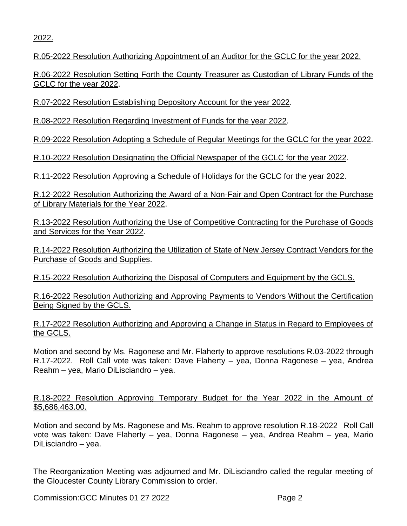2022.

R.05-2022 Resolution Authorizing Appointment of an Auditor for the GCLC for the year 2022.

R.06-2022 Resolution Setting Forth the County Treasurer as Custodian of Library Funds of the GCLC for the year 2022.

R.07-2022 Resolution Establishing Depository Account for the year 2022.

R.08-2022 Resolution Regarding Investment of Funds for the year 2022.

R.09-2022 Resolution Adopting a Schedule of Regular Meetings for the GCLC for the year 2022.

R.10-2022 Resolution Designating the Official Newspaper of the GCLC for the year 2022.

R.11-2022 Resolution Approving a Schedule of Holidays for the GCLC for the year 2022.

R.12-2022 Resolution Authorizing the Award of a Non-Fair and Open Contract for the Purchase of Library Materials for the Year 2022.

R.13-2022 Resolution Authorizing the Use of Competitive Contracting for the Purchase of Goods and Services for the Year 2022.

R.14-2022 Resolution Authorizing the Utilization of State of New Jersey Contract Vendors for the Purchase of Goods and Supplies.

R.15-2022 Resolution Authorizing the Disposal of Computers and Equipment by the GCLS.

R.16-2022 Resolution Authorizing and Approving Payments to Vendors Without the Certification Being Signed by the GCLS.

R.17-2022 Resolution Authorizing and Approving a Change in Status in Regard to Employees of the GCLS.

Motion and second by Ms. Ragonese and Mr. Flaherty to approve resolutions R.03-2022 through R.17-2022. Roll Call vote was taken: Dave Flaherty – yea, Donna Ragonese – yea, Andrea Reahm – yea, Mario DiLisciandro – yea.

R.18-2022 Resolution Approving Temporary Budget for the Year 2022 in the Amount of \$5,686,463.00.

Motion and second by Ms. Ragonese and Ms. Reahm to approve resolution R.18-2022 Roll Call vote was taken: Dave Flaherty – yea, Donna Ragonese – yea, Andrea Reahm – yea, Mario DiLisciandro – yea.

The Reorganization Meeting was adjourned and Mr. DiLisciandro called the regular meeting of the Gloucester County Library Commission to order.

Commission:GCC Minutes 01 27 2022 Page 2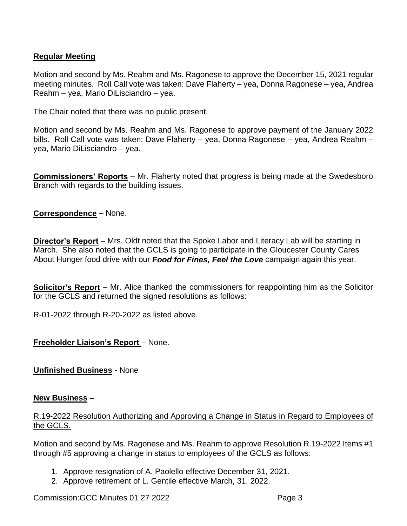# **Regular Meeting**

Motion and second by Ms. Reahm and Ms. Ragonese to approve the December 15, 2021 regular meeting minutes. Roll Call vote was taken: Dave Flaherty – yea, Donna Ragonese – yea, Andrea Reahm – yea, Mario DiLisciandro – yea.

The Chair noted that there was no public present.

Motion and second by Ms. Reahm and Ms. Ragonese to approve payment of the January 2022 bills. Roll Call vote was taken: Dave Flaherty – yea, Donna Ragonese – yea, Andrea Reahm – yea, Mario DiLisciandro – yea.

**Commissioners' Reports** – Mr. Flaherty noted that progress is being made at the Swedesboro Branch with regards to the building issues.

# **Correspondence** – None.

**Director's Report** – Mrs. Oldt noted that the Spoke Labor and Literacy Lab will be starting in March. She also noted that the GCLS is going to participate in the Gloucester County Cares About Hunger food drive with our *Food for Fines, Feel the Love* campaign again this year.

**Solicitor's Report** – Mr. Alice thanked the commissioners for reappointing him as the Solicitor for the GCLS and returned the signed resolutions as follows:

R-01-2022 through R-20-2022 as listed above.

# **Freeholder Liaison's Report** – None.

# **Unfinished Business** - None

#### **New Business** –

# R.19-2022 Resolution Authorizing and Approving a Change in Status in Regard to Employees of the GCLS.

Motion and second by Ms. Ragonese and Ms. Reahm to approve Resolution R.19-2022 Items #1 through #5 approving a change in status to employees of the GCLS as follows:

- 1. Approve resignation of A. Paolello effective December 31, 2021.
- 2. Approve retirement of L. Gentile effective March, 31, 2022.